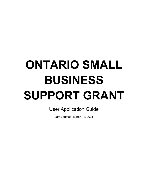# **ONTARIO SMALL BUSINESS SUPPORT GRANT**

## User Application Guide

Last updated: March 12, 2021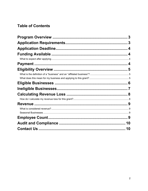## **Table of Contents**

| 3  |
|----|
|    |
|    |
|    |
|    |
|    |
|    |
|    |
|    |
|    |
|    |
|    |
|    |
|    |
|    |
|    |
|    |
| 10 |
| 10 |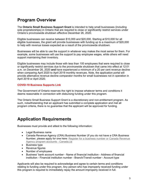## <span id="page-2-0"></span>**Program Overview**

The **Ontario Small Business Support Grant** is intended to help small businesses (including sole proprietorships) in Ontario that are required to close or significantly restrict services under Ontario's provincewide shutdown effective December 26, 2020.

Eligible businesses can receive between \$10,000 and \$20,000. Starting at \$10,000 for all eligible businesses, the grant will provide businesses with funding up to a maximum of \$20,000 to help with revenue losses expected as a result of the provincewide shutdown.

Businesses will be able to use the support in whatever way makes the most sense for them. For example, some businesses will use the support to pay employee wages, while others will need support maintaining their inventory.

Eligible businesses may include those with less than 100 employees that were required to close or significantly restrict services due to the provincewide shutdown that came into effect at 12:01 a.m. on December 26, 2020 **and** have experienced a minimum of a 20 per cent revenue decline when comparing April 2020 to April 2019 monthly revenues. Note, the application portal will provide alternative revenue decline comparator months for small businesses not in operation in April 2019 or April 2020.

#### **[COVID-19 Business Supports Link](https://www.app.grants.gov.on.ca/msrf/#/)**

The Government of Ontario reserves the right to impose whatever terms and conditions it deems reasonable in connection with disbursing funding under this program.

The Ontario Small Business Support Grant is a discretionary and non-entitlement program. As such, notwithstanding that an applicant has submitted a complete application and met all program criteria, there is no guarantee that the applicant will be approved for funding.

## <span id="page-2-1"></span>**Application Requirements**

Businesses must provide and attest to the following information:

- Legal Business name
- Canada Revenue Agency (CRA) Business Number (If you do not have a CRA Business [Number, please apply for one here: Register for a business number or Canada Revenue](https://www.canada.ca/en/revenue-agency/services/tax/businesses/topics/registering-your-business/register.html)  Agency program accounts - Canada.ca
- Business type
- Revenue figures
- Number of employees
- Business' bank account number Name of financial institution Address of financial institution - Financial institution number - Branch/Transit number - Account type

Applicants will also be required to acknowledge and agree to certain terms and conditions relating to funding under this program. Any person who has improperly received funding under this program is required to immediately repay the amount improperly received in full.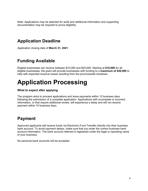Note: Applications may be selected for audit and additional information and supporting documentation may be required to prove eligibility.

## <span id="page-3-0"></span>**Application Deadline**

Application closing date of **March 31, 2021**.

## <span id="page-3-1"></span>**Funding Available**

Eligible businesses can receive between \$10,000 and \$20,000. Starting at **\$10,000** for all eligible businesses, the grant will provide businesses with funding to a **maximum of \$20,000** to help with expected revenue losses resulting from the provincewide shutdown.

## **Application Processing**

#### <span id="page-3-2"></span>**What to expect after applying**

The program aims to process applications and issue payments within 10 business days following the submission of a complete application. Applications with incomplete or incorrect information, or that require additional review, will experience a delay and will not receive payment within 10 business days.

## <span id="page-3-3"></span>**Payment**

Approved applicants will receive funds via Electronic Fund Transfer directly into their business bank account. To avoid payment delays, make sure that you enter the correct business bank account information. The bank account referred is registered under the legal or operating name of your business.

No personal bank accounts will be accepted.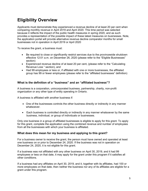## <span id="page-4-0"></span>**Eligibility Overview**

Applicants must demonstrate they experienced a revenue decline of at least 20 per cent when comparing monthly revenue in April 2019 and April 2020. This time period was selected because it reflects the impact of the public health measures in spring 2020, and as such provides a representation of the possible impact of these latest measures on businesses. Note, the application portal will provide alternative revenue decline comparator months for small businesses not in operation in April 2019 or April 2020

To receive the grant, a business must:

- Be required to close or significantly restrict services due to the provincewide shutdown effective 12:01 a.m. on December 26, 2020 (please refer to the "Eligible Businesses" section)
- Experienced revenue decline of at least 20 per cent, (please refer to the "Calculating Revenue Loss " section), and
- Had 99 employees or less or, if affiliated with one or more businesses, the affiliated group has 99 or fewer employees (please refer to the "affiliated businesses" definition)

#### <span id="page-4-1"></span>**What is the definition of a "business" and an "affiliated business"?**

A business is a corporation, unincorporated business, partnership, charity, non-profit organization or any other type of entity operating in Ontario.

A business is affiliated with another business if:

- One of the businesses controls the other business directly or indirectly in any manner whatsoever.
- Each business is controlled directly or indirectly in any manner whatsoever by the same business, individual, or group of individuals or businesses.

Only one business in a group of affiliated businesses is eligible to apply for this grant. To apply for this grant, complete the application using the combined revenue and number of employees from all the businesses with which your business is affiliated.

#### <span id="page-4-2"></span>**What does this mean for my business and applying to this grant?**

For a business owner to receive the grant, the person must have owned and operated at least one business on or prior to December 24, 2020. If the business was not in operation on December 24, 2020, it is not eligible for this grant.

If a business was not affiliated with any other business on April 30, 2019, and it had 99 employees or less on that date, it may apply for the grant under this program if it satisfies all other conditions.

If a business had any affiliates on April 30, 2019, and it, together with its affiliates, had 100 or more employees on that date, then neither the business nor any of its affiliates are eligible for a grant under this program.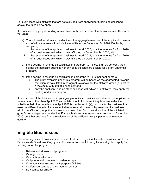For businesses with affiliates that are not excluded from applying for funding as described above, the rules below apply.

If a business applying for funding was affiliated with one or more other businesses on December 24, 2020:

- a) You will need to calculate the decline in the aggregate revenue of the applicant business and of all businesses with which it was affiliated on December 24, 2020. Do this by comparing:<br>i. the reve
	- the revenue of the applicant business for April 2020, plus the revenue for April 2020 of all businesses with which it was affiliated on December 24, 2020, with
	- ii. the revenue of the applicant business for April 2019, plus the revenue for April 2019 of all businesses with which it was affiliated on December 24, 2020.
- b) If the decline in revenue as calculated in paragraph (a) is less than 20 per cent, then neither the applicant business nor any of its affiliates are eligible for a grant under this program.
- c) If the decline in revenue as calculated in paragraph (a) is 20 per cent or more,
	- i. The grant available under this program will be based on the aggregated revenue reduction as calculated in paragraph (a) above for the affiliated group (subject to a maximum of \$20,000 in funding); and
	- ii. only the applicant, and no other business with which it is affiliated, may apply for funding under this program.

If one or more of the businesses in your group of affiliated businesses enters on the application form a month other than April 2020 as the later month for determining its revenue decline, substitute that other month where April 2020 is mentioned in (a), but only for the business that uses the different month. If you are not able to ascertain the monthly revenue of a business within the affiliated group, that business can be omitted from the calculation of the affiliated group's percentage revenue decline. If a new business was started in November or December 2020, omit that business from the calculation of the affiliated group's percentage revenue decline.

## <span id="page-5-0"></span>**Eligible Businesses**

The following types of business are required to close or significantly restrict services due to the Provincewide Shutdown. Only types of business from the following list are eligible to apply for funding under this program:

- Before- and after-school programs
- Campgrounds
- Cannabis retail stores
- Cell phone and computer providers & repairs
- Community centres and multi-purpose facilities
- Conference centres and convention centres
- Day camps for children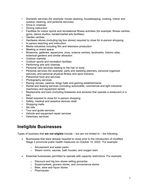- Domestic services (for example: house cleaning, housekeeping, cooking, indoor and outdoor cleaning, and janitorial services)
- Drive-in cinemas
- Driving instruction
- Facilities for indoor sports and recreational fitness activities (for example: fitness centres, gyms, dance studios, karate/martial arts facilities)
- Garden centres
- Hardware stores (including big box stores) required to close for in-person shopping
- In person teaching and instruction
- Media industries including film and television production
- Meeting or event space
- Museums, galleries, aquariums, zoos, science centres, landmarks, historic sites, botanical gardens and similar attraction
- Outdoor markets
- Outdoor sports and recreation facilities
- Performing arts and cinemas
- Personal care services relating to the hair or body
- Personal services (for example: party and wedding planners, personal organizer services, and personal physical fitness and sport trainers)
- Pet/animal food and services
- Photography services
- Racing venues, casinos, bingo halls and gaming establishments
- Rental and leasing services (including automobile, commercial and light industrial machinery and equipment rental)
- Restaurants and bars (including breweries and wineries that operate a restaurant or a bar)
- Retail required to close for in-person shopping
- Safety, medical and assistive devices retail
- Shopping malls
- Ski hills
- Tour and guide services
- Vehicle and equipment repair services
- Veterinary services

## <span id="page-6-0"></span>**Ineligible Businesses**

Types of business that **are not eligible** include – but are not limited to – the following:

- Businesses that were already required to close prior to the introduction of modified Stage 2 provincial public health measures on October 10, 2020. For example:
	- o Amusement and water parks
	- $\circ$  Steam rooms, saunas, bath houses, and oxygen bars
- Essential businesses permitted to operate with capacity restrictions. For example:
	- o Discount and big box stores selling groceries
	- o Supermarkets, grocery stores, and convenience stores
	- o Beer, wine and liquor stores
	- o Pharmacies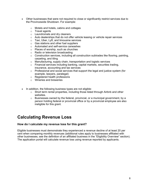- Other businesses that were not required to close or significantly restrict services due to the Provincewide Shutdown. For example:
	- o Motels and hotels, cabins and cottages
	- o Travel agents
	- o Laundromats and dry cleaners
	- $\circ$  Auto dealerships that do not offer vehicle leasing or vehicle repair services
	- o Taxi, Uber, Lyft, and limousine services
	- o Gas stations and other fuel suppliers
	- o Automated and self-service carwashes
	- o Places of worship, such as churches
	- o Radio or television broadcasting
	- o Construction services, including all construction subtrades like flooring, painting, carpeting, and tiling
	- o Manufacturing, supply chain, transportation and logistic services
	- o Financial services including banking, capital markets, securities trading, insurance, accounting and tax services
	- $\circ$  Professional and social services that support the legal and justice system (for example, lawyers, paralegal)
	- o Registered health professions
	- o Wineries and breweries
- In addition, the following business types are not eligible:
	- $\circ$  Short term rental properties, including those listed through Airbnb and other websites.
	- $\circ$  Businesses owned by the federal, provincial, or a municipal government, by a person holding federal or provincial office or by a provincial employee are also ineligible for this grant.

### <span id="page-7-0"></span>**Calculating Revenue Loss**

#### <span id="page-7-1"></span>**How do I calculate my revenue loss for this grant?**

Eligible businesses must demonstrate they experienced a revenue decline of at least 20 per cent when comparing monthly revenues (additional rules apply to businesses affiliated with other businesses; see the definition of an affiliated business in the "Eligibility Overview" section). The application portal will calculate revenue loss using revenue reported by applicants.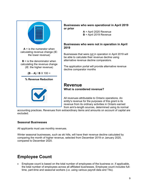

**Businesses who were operational in April 2019 or prior**

> **A** = April 2020 Revenue **B** = April 2019 Revenue

#### **Businesses who were not in operation in April 2019**

Businesses that were not in operation in April 2019 will be able to calculate their revenue decline using alternative revenue decline comparators.

The application portal will provide alternative revenue decline comparator months

#### <span id="page-8-1"></span><span id="page-8-0"></span>**Revenue What is considered revenue?**

All revenues attributable to Ontario operations. An entity's revenue for the purposes of this grant is its revenue from its ordinary activities in Ontario earned from arm's-length sources, determined using its normal

accounting practices. Revenues from extraordinary items and amounts on account of capital are excluded.

#### <span id="page-8-2"></span>**Seasonal Businesses**

All applicants must use monthly revenues.

Winter seasonal businesses, such as ski hills, will have their revenue decline calculated by comparing the month of higher revenue, selected from December 2019 or January 2020, compared to December 2020.

## <span id="page-8-3"></span>**Employee Count**

• Employee count is based on the total number of employees of the business or, if applicable, the total number of employees across all affiliated businesses. Employee count includes fulltime, part-time and seasonal workers (i.e. using various payroll data and T4s).